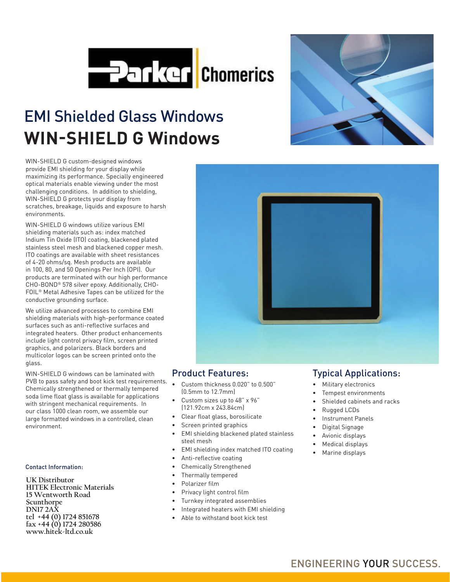

# EMI Shielded Glass Windows **WIN-SHIELD G Windows**

WIN-SHIELD G custom-designed windows provide EMI shielding for your display while maximizing its performance. Specially engineered optical materials enable viewing under the most challenging conditions. In addition to shielding, WIN-SHIELD G protects your display from scratches, breakage, liquids and exposure to harsh environments.

WIN-SHIELD G windows utilize various EMI shielding materials such as: index matched Indium Tin Oxide (ITO) coating, blackened plated stainless steel mesh and blackened copper mesh. ITO coatings are available with sheet resistances of 4-20 ohms/sq. Mesh products are available in 100, 80, and 50 Openings Per Inch (OPI). Our products are terminated with our high performance CHO-BOND® 578 silver epoxy. Additionally, CHO-FOIL® Metal Adhesive Tapes can be utilized for the conductive grounding surface.

We utilize advanced processes to combine EMI shielding materials with high-performance coated surfaces such as anti-reflective surfaces and integrated heaters. Other product enhancements include light control privacy film, screen printed graphics, and polarizers. Black borders and multicolor logos can be screen printed onto the glass.

WIN-SHIELD G windows can be laminated with PVB to pass safety and boot kick test requirements. • Custom thickness 0.020" to 0.500" Chemically strengthened or thermally tempered soda lime float glass is available for applications with stringent mechanical requirements. In our class 1000 clean room, we assemble our large formatted windows in a controlled, clean environment.

#### Contact Information:

**UK Distributor HITEK Electronic Materials 15 Wentworth Road Scunthorpe DN17 2AX tel +44 (0) 1724 851678 fax +44 (0) 1724 280586 www.hitek-ltd.co.uk**



### Product Features:

- (0.5mm to 12.7mm)
- Custom sizes up to 48" x 96" (121.92cm x 243.84cm)
- Clear float glass, borosilicate
- Screen printed graphics
- EMI shielding blackened plated stainless steel mesh
- EMI shielding index matched ITO coating
- Anti-reflective coating
- Chemically Strengthened
- Thermally tempered
- Polarizer film
- Privacy light control film
- Turnkey integrated assemblies
- Integrated heaters with EMI shielding
- Able to withstand boot kick test

# Typical Applications:

- Military electronics
- Tempest environments
- Shielded cabinets and racks
- Rugged LCDs
- Instrument Panels
- Digital Signage
- Avionic displays
- Medical displays
- Marine displays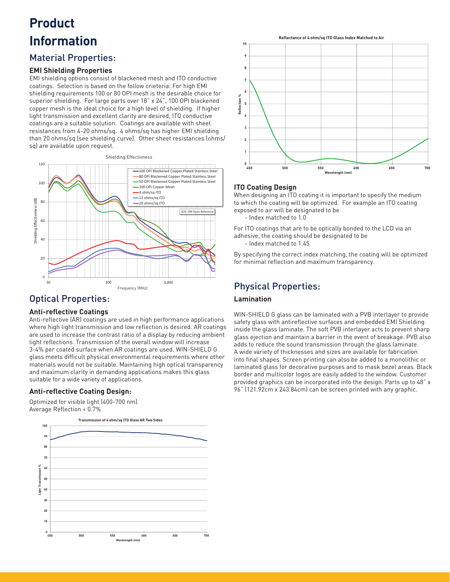# **Product Information**

# Material Properties:

#### **EMI Shielding Properties**

EMI shielding options consist of blackened mesh and ITO conductive coatings. Selection is based on the follow crieteria: For high EMI shielding requirements 100 or 80 OPI mesh is the desirable choice for superior shielding. For large parts over 18" x 24", 100 OPI blackened copper mesh is the ideal choice for a high level of shielding. If higher light transmission and excellent clarity are desired, ITO conductive coatings are a suitable solution. Coatings are available with sheet resistances from 4-20 ohms/sq. 4 ohms/sq has higher EMI shielding than 20 ohms/sq (see shielding curve). Other sheet resistances (ohms/ sq) are available upon request.



# Optical Properties:

#### **Anti-reflective Coatings**

Anti-reflective (AR) coatings are used in high performance applications where high light transmission and low reflection is desired. AR coatings are used to increase the contrast ratio of a display by reducing ambient light reflections. Transmission of the overall window will increase 3-4% per coated surface when AR coatings are used. WIN-SHIELD G glass meets difficult physical environmental requirements where other materials would not be suitable. Maintaining high optical transparency and maximum clarity in demanding applications makes this glass suitable for a wide variety of applications.

#### **Anti-refl ective Coating Design:**

Optimized for visible light (400-700 nm) Average Reflection < 0.7%





#### **ITO Coating Design**

When designing an ITO coating it is important to specify the medium to which the coating will be optimized. For example an ITO coating exposed to air will be designated to be

- Index matched to 1.0

For ITO coatings that are to be optically bonded to the LCD via an adhesive, the coating should be designated to be

- Index matched to 1.45

By specifying the correct index matching, the coating will be optimized for minimal reflection and maximum transparency.

# Physical Properties:

### **Lamination**

WIN-SHIELD G glass can be laminated with a PVB interlayer to provide safety glass with antireflective surfaces and embedded EMI Shielding inside the glass laminate. The soft PVB interlayer acts to prevent sharp glass ejection and maintain a barrier in the event of breakage. PVB also adds to reduce the sound transmission through the glass laminate. A wide variety of thicknesses and sizes are available for fabrication into final shapes. Screen printing can also be added to a monolithic or laminated glass for decorative purposes and to mask bezel areas. Black border and multicolor logos are easily added to the window. Customer provided graphics can be incorporated into the design. Parts up to 48" x 96" (121.92cm x 243.84cm) can be screen printed with any graphic.